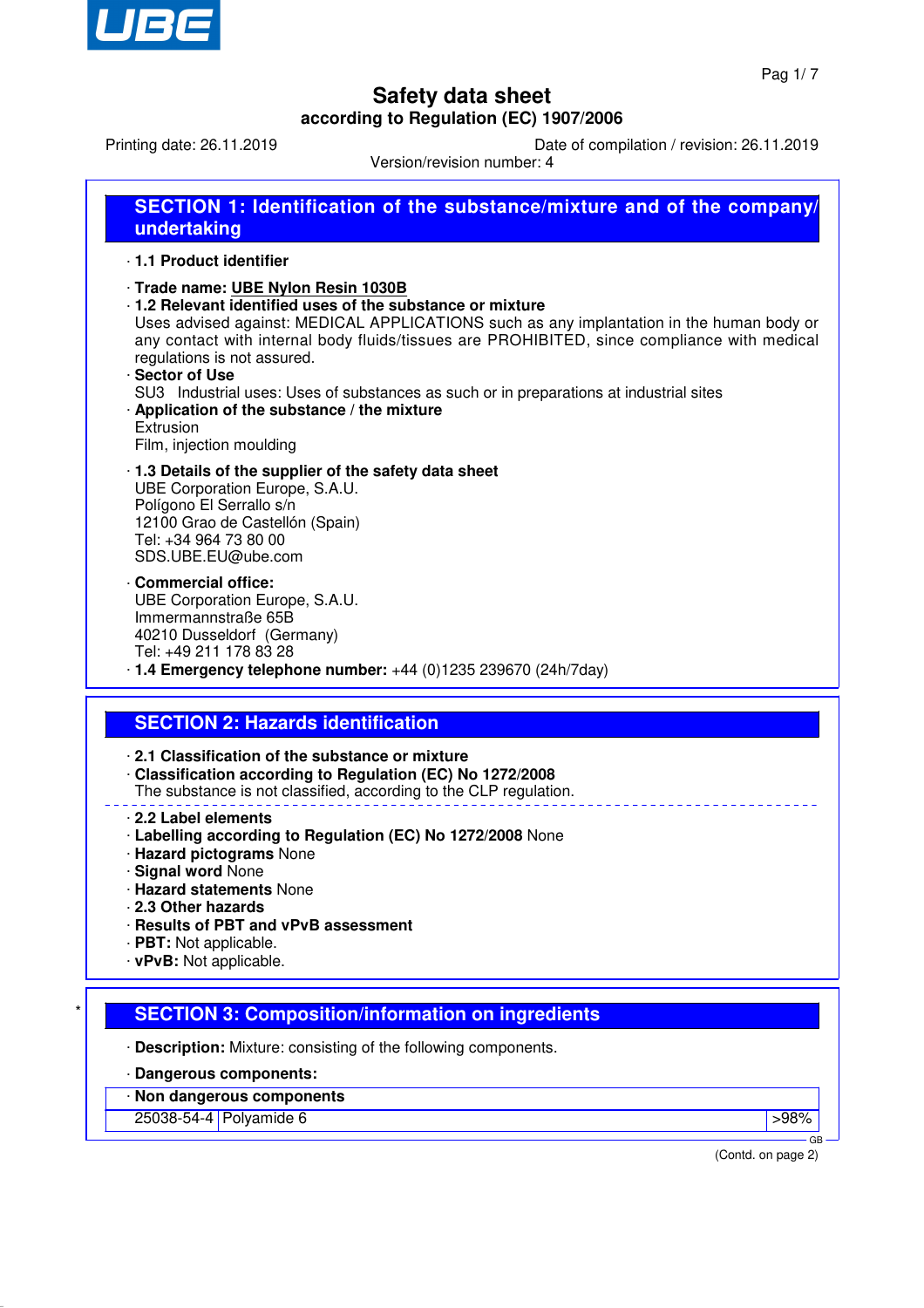

Printing date: 26.11.2019 Date of compilation / revision: 26.11.2019

Version/revision number: 4

| SECTION 1: Identification of the substance/mixture and of the company/<br>undertaking                                                                                                                                                                                                                                                                                                                                                                                                                                         |
|-------------------------------------------------------------------------------------------------------------------------------------------------------------------------------------------------------------------------------------------------------------------------------------------------------------------------------------------------------------------------------------------------------------------------------------------------------------------------------------------------------------------------------|
| 1.1 Product identifier                                                                                                                                                                                                                                                                                                                                                                                                                                                                                                        |
| · Trade name: UBE Nylon Resin 1030B<br>1.2 Relevant identified uses of the substance or mixture<br>Uses advised against: MEDICAL APPLICATIONS such as any implantation in the human body or<br>any contact with internal body fluids/tissues are PROHIBITED, since compliance with medical<br>regulations is not assured.<br>· Sector of Use<br>SU3 Industrial uses: Uses of substances as such or in preparations at industrial sites<br>Application of the substance / the mixture<br>Extrusion<br>Film, injection moulding |
| 1.3 Details of the supplier of the safety data sheet<br>UBE Corporation Europe, S.A.U.<br>Polígono El Serrallo s/n<br>12100 Grao de Castellón (Spain)<br>Tel: +34 964 73 80 00<br>SDS.UBE.EU@ube.com                                                                                                                                                                                                                                                                                                                          |
| · Commercial office:<br>UBE Corporation Europe, S.A.U.<br>Immermannstraße 65B<br>40210 Dusseldorf (Germany)<br>Tel: +49 211 178 83 28<br>$\cdot$ 1.4 Emergency telephone number: $+44$ (0)1235 239670 (24h/7day)                                                                                                                                                                                                                                                                                                              |
|                                                                                                                                                                                                                                                                                                                                                                                                                                                                                                                               |
| <b>SECTION 2: Hazards identification</b>                                                                                                                                                                                                                                                                                                                                                                                                                                                                                      |
| 2.1 Classification of the substance or mixture<br>Classification according to Regulation (EC) No 1272/2008<br>The substance is not classified, according to the CLP regulation.                                                                                                                                                                                                                                                                                                                                               |
| 2.2 Label elements<br>· Labelling according to Regulation (EC) No 1272/2008 None<br>· Hazard pictograms None<br><b>Signal word None</b><br><b>Hazard statements None</b><br>2.3 Other hazards<br>· Results of PBT and vPvB assessment                                                                                                                                                                                                                                                                                         |
| $\cdot$ PBT: Not applicable.<br>$\cdot$ vPvB: Not applicable.                                                                                                                                                                                                                                                                                                                                                                                                                                                                 |
| <b>SECTION 3: Composition/information on ingredients</b>                                                                                                                                                                                                                                                                                                                                                                                                                                                                      |
| · Description: Mixture: consisting of the following components.                                                                                                                                                                                                                                                                                                                                                                                                                                                               |
|                                                                                                                                                                                                                                                                                                                                                                                                                                                                                                                               |
| Dangerous components:                                                                                                                                                                                                                                                                                                                                                                                                                                                                                                         |
| Non dangerous components                                                                                                                                                                                                                                                                                                                                                                                                                                                                                                      |
| 25038-54-4 Polyamide 6<br>>98%<br><b>GB</b>                                                                                                                                                                                                                                                                                                                                                                                                                                                                                   |

(Contd. on page 2)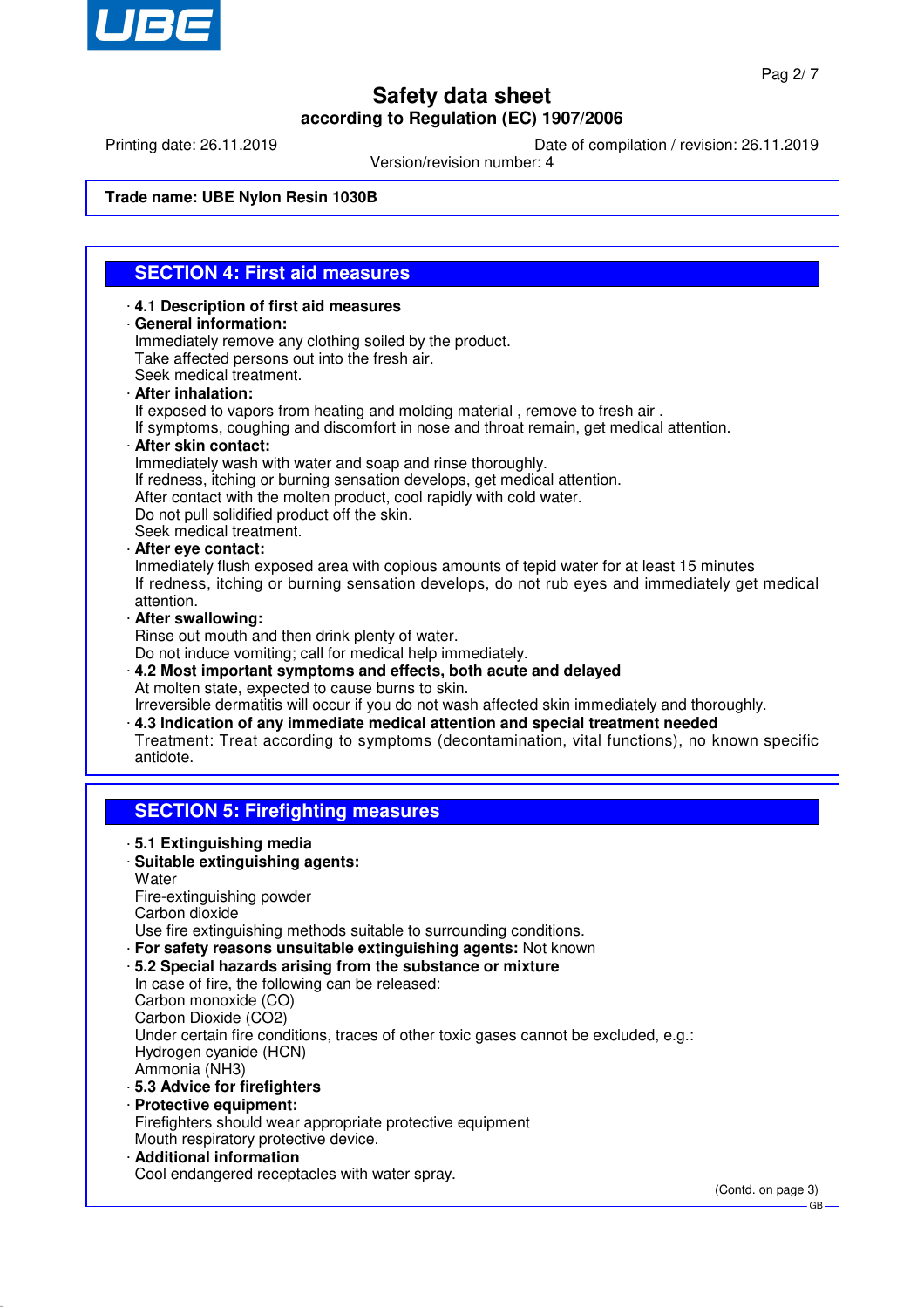

Printing date: 26.11.2019 Date of compilation / revision: 26.11.2019

Version/revision number: 4

### **Trade name: UBE Nylon Resin 1030B**

## **SECTION 4: First aid measures**

## · **4.1 Description of first aid measures**

· **General information:** Immediately remove any clothing soiled by the product. Take affected persons out into the fresh air. Seek medical treatment.

#### · **After inhalation:**

If exposed to vapors from heating and molding material , remove to fresh air .

If symptoms, coughing and discomfort in nose and throat remain, get medical attention.

### · **After skin contact:**

Immediately wash with water and soap and rinse thoroughly.

- If redness, itching or burning sensation develops, get medical attention.
- After contact with the molten product, cool rapidly with cold water.
- Do not pull solidified product off the skin.

Seek medical treatment.

#### · **After eye contact:**

Inmediately flush exposed area with copious amounts of tepid water for at least 15 minutes If redness, itching or burning sensation develops, do not rub eyes and immediately get medical attention.

#### · **After swallowing:**

Rinse out mouth and then drink plenty of water.

Do not induce vomiting; call for medical help immediately.

· **4.2 Most important symptoms and effects, both acute and delayed** At molten state, expected to cause burns to skin.

Irreversible dermatitis will occur if you do not wash affected skin immediately and thoroughly. · **4.3 Indication of any immediate medical attention and special treatment needed**

Treatment: Treat according to symptoms (decontamination, vital functions), no known specific antidote.

## **SECTION 5: Firefighting measures**

- · **5.1 Extinguishing media**
- · **Suitable extinguishing agents:**
- **Water**
- Fire-extinguishing powder
- Carbon dioxide
- Use fire extinguishing methods suitable to surrounding conditions.
- · **For safety reasons unsuitable extinguishing agents:** Not known
- · **5.2 Special hazards arising from the substance or mixture**
- In case of fire, the following can be released: Carbon monoxide (CO) Carbon Dioxide (CO2) Under certain fire conditions, traces of other toxic gases cannot be excluded, e.g.: Hydrogen cyanide (HCN) Ammonia (NH3) · **5.3 Advice for firefighters**
- · **Protective equipment:** Firefighters should wear appropriate protective equipment Mouth respiratory protective device. · **Additional information**
- Cool endangered receptacles with water spray.

(Contd. on page 3)

GB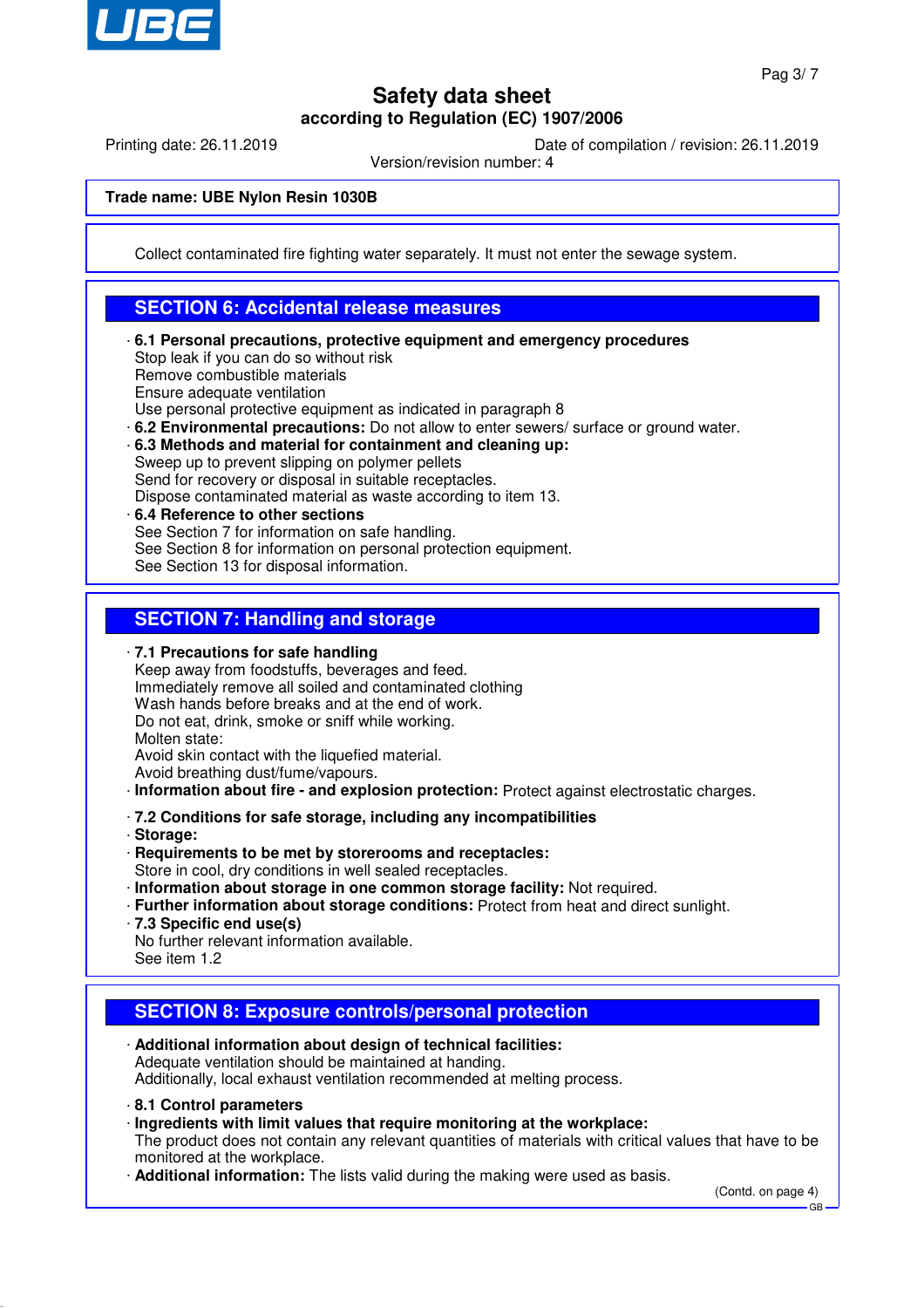

Printing date: 26.11.2019 Date of compilation / revision: 26.11.2019

Version/revision number: 4

### **Trade name: UBE Nylon Resin 1030B**

Collect contaminated fire fighting water separately. It must not enter the sewage system.

## **SECTION 6: Accidental release measures**

- · **6.1 Personal precautions, protective equipment and emergency procedures** Stop leak if you can do so without risk Remove combustible materials Ensure adequate ventilation Use personal protective equipment as indicated in paragraph 8
- · **6.2 Environmental precautions:** Do not allow to enter sewers/ surface or ground water.
- · **6.3 Methods and material for containment and cleaning up:**

Sweep up to prevent slipping on polymer pellets Send for recovery or disposal in suitable receptacles.

- Dispose contaminated material as waste according to item 13.
- · **6.4 Reference to other sections** See Section 7 for information on safe handling. See Section 8 for information on personal protection equipment. See Section 13 for disposal information.

## **SECTION 7: Handling and storage**

· **7.1 Precautions for safe handling**

Keep away from foodstuffs, beverages and feed. Immediately remove all soiled and contaminated clothing Wash hands before breaks and at the end of work. Do not eat, drink, smoke or sniff while working. Molten state: Avoid skin contact with the liquefied material.

Avoid breathing dust/fume/vapours.

- · **Information about fire and explosion protection:** Protect against electrostatic charges.
- · **7.2 Conditions for safe storage, including any incompatibilities**
- · **Storage:**
- · **Requirements to be met by storerooms and receptacles:**
- Store in cool, dry conditions in well sealed receptacles.
- · **Information about storage in one common storage facility:** Not required.
- · **Further information about storage conditions:** Protect from heat and direct sunlight.
- · **7.3 Specific end use(s)**
- No further relevant information available.
- See item 1.2

## **SECTION 8: Exposure controls/personal protection**

- · **Additional information about design of technical facilities:** Adequate ventilation should be maintained at handing. Additionally, local exhaust ventilation recommended at melting process.
- · **8.1 Control parameters**
- · **Ingredients with limit values that require monitoring at the workplace:**

The product does not contain any relevant quantities of materials with critical values that have to be monitored at the workplace.

· **Additional information:** The lists valid during the making were used as basis.

(Contd. on page 4)

GB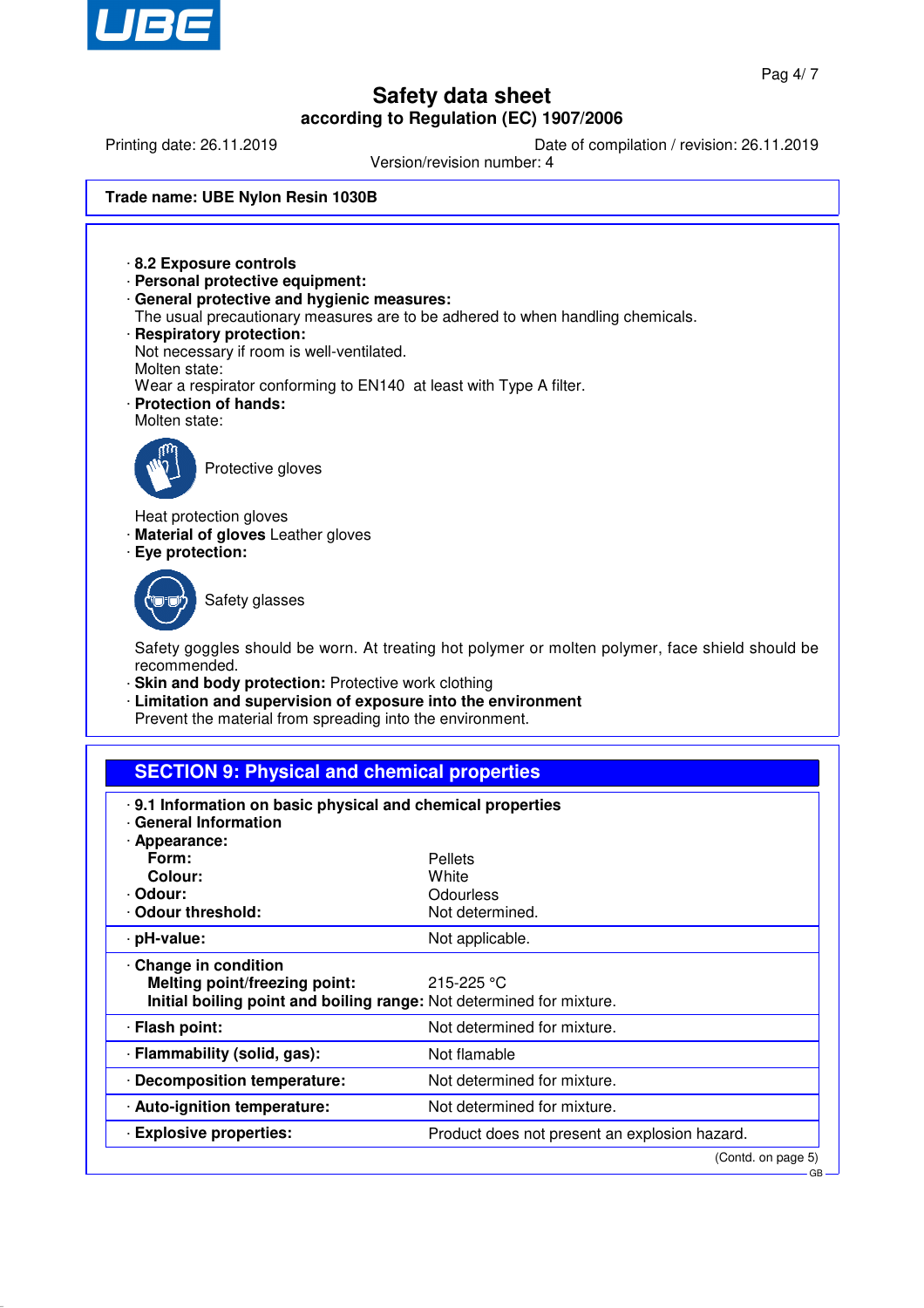

Printing date: 26.11.2019 Date of compilation / revision: 26.11.2019

Version/revision number: 4

### **Trade name: UBE Nylon Resin 1030B**

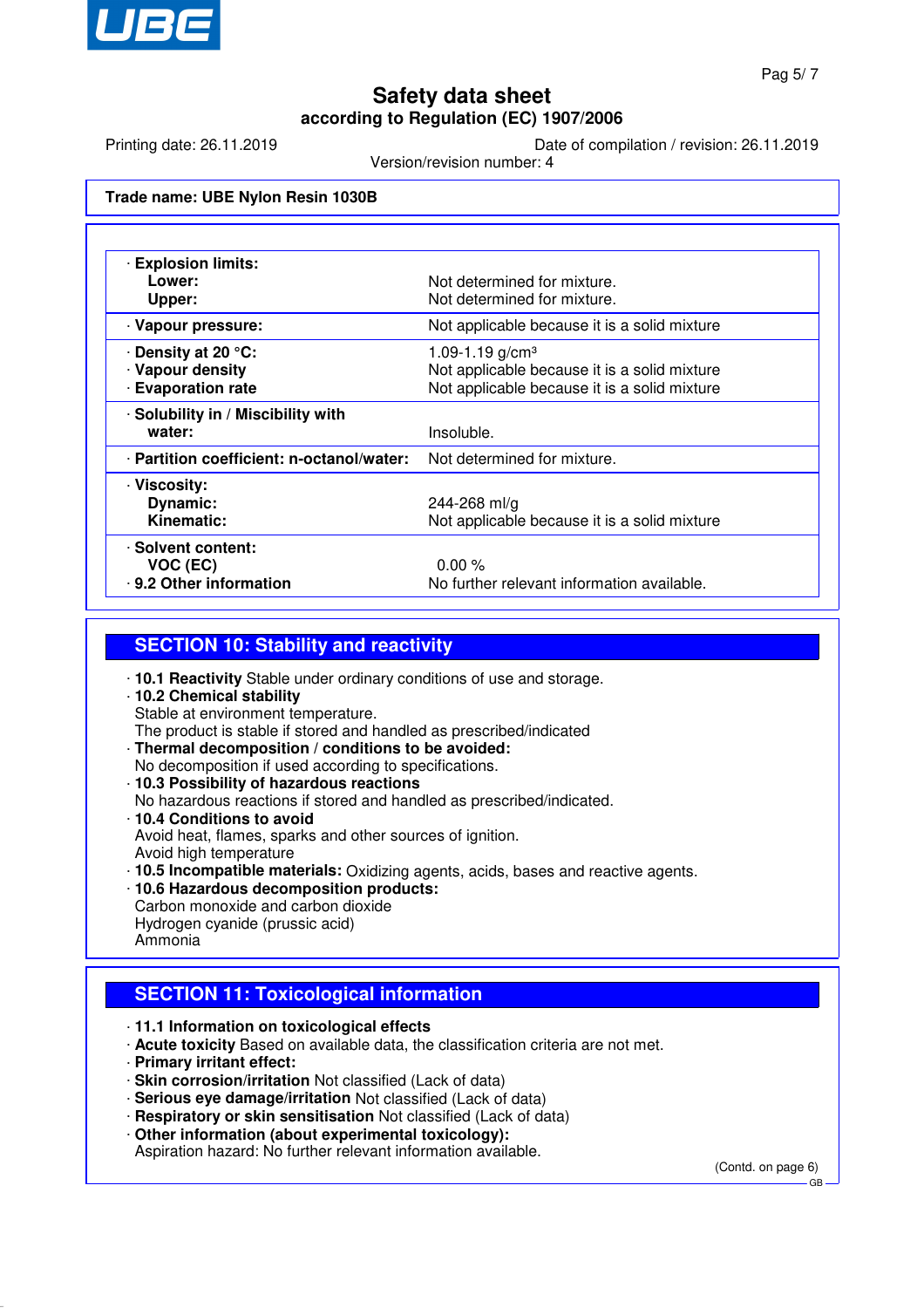

Printing date: 26.11.2019 Date of compilation / revision: 26.11.2019

Version/revision number: 4

### **Trade name: UBE Nylon Resin 1030B**

| <b>Explosion limits:</b>                  |                                              |
|-------------------------------------------|----------------------------------------------|
| Lower:                                    | Not determined for mixture.                  |
| Upper:                                    | Not determined for mixture.                  |
| · Vapour pressure:                        | Not applicable because it is a solid mixture |
| ⋅ Density at 20 °C:                       | 1.09-1.19 g/cm <sup>3</sup>                  |
| · Vapour density                          | Not applicable because it is a solid mixture |
| <b>Evaporation rate</b>                   | Not applicable because it is a solid mixture |
| · Solubility in / Miscibility with        |                                              |
| water:                                    | Insoluble.                                   |
| · Partition coefficient: n-octanol/water: | Not determined for mixture.                  |
| · Viscosity:                              |                                              |
| Dynamic:                                  | 244-268 ml/g                                 |
| Kinematic:                                | Not applicable because it is a solid mixture |
| · Solvent content:                        |                                              |
| VOC (EC)                                  | $0.00\%$                                     |
| 9.2 Other information                     | No further relevant information available.   |

## **SECTION 10: Stability and reactivity**

· **10.1 Reactivity** Stable under ordinary conditions of use and storage. · **10.2 Chemical stability** Stable at environment temperature. The product is stable if stored and handled as prescribed/indicated · **Thermal decomposition / conditions to be avoided:** No decomposition if used according to specifications. · **10.3 Possibility of hazardous reactions** No hazardous reactions if stored and handled as prescribed/indicated. · **10.4 Conditions to avoid** Avoid heat, flames, sparks and other sources of ignition. Avoid high temperature · **10.5 Incompatible materials:** Oxidizing agents, acids, bases and reactive agents. · **10.6 Hazardous decomposition products:** Carbon monoxide and carbon dioxide Hydrogen cyanide (prussic acid)

#### Ammonia

## **SECTION 11: Toxicological information**

· **11.1 Information on toxicological effects**

- · **Acute toxicity** Based on available data, the classification criteria are not met.
- · **Primary irritant effect:**
- · **Skin corrosion/irritation** Not classified (Lack of data)
- · **Serious eye damage/irritation** Not classified (Lack of data)
- · **Respiratory or skin sensitisation** Not classified (Lack of data)
- · **Other information (about experimental toxicology):**

Aspiration hazard: No further relevant information available.

(Contd. on page 6)

GB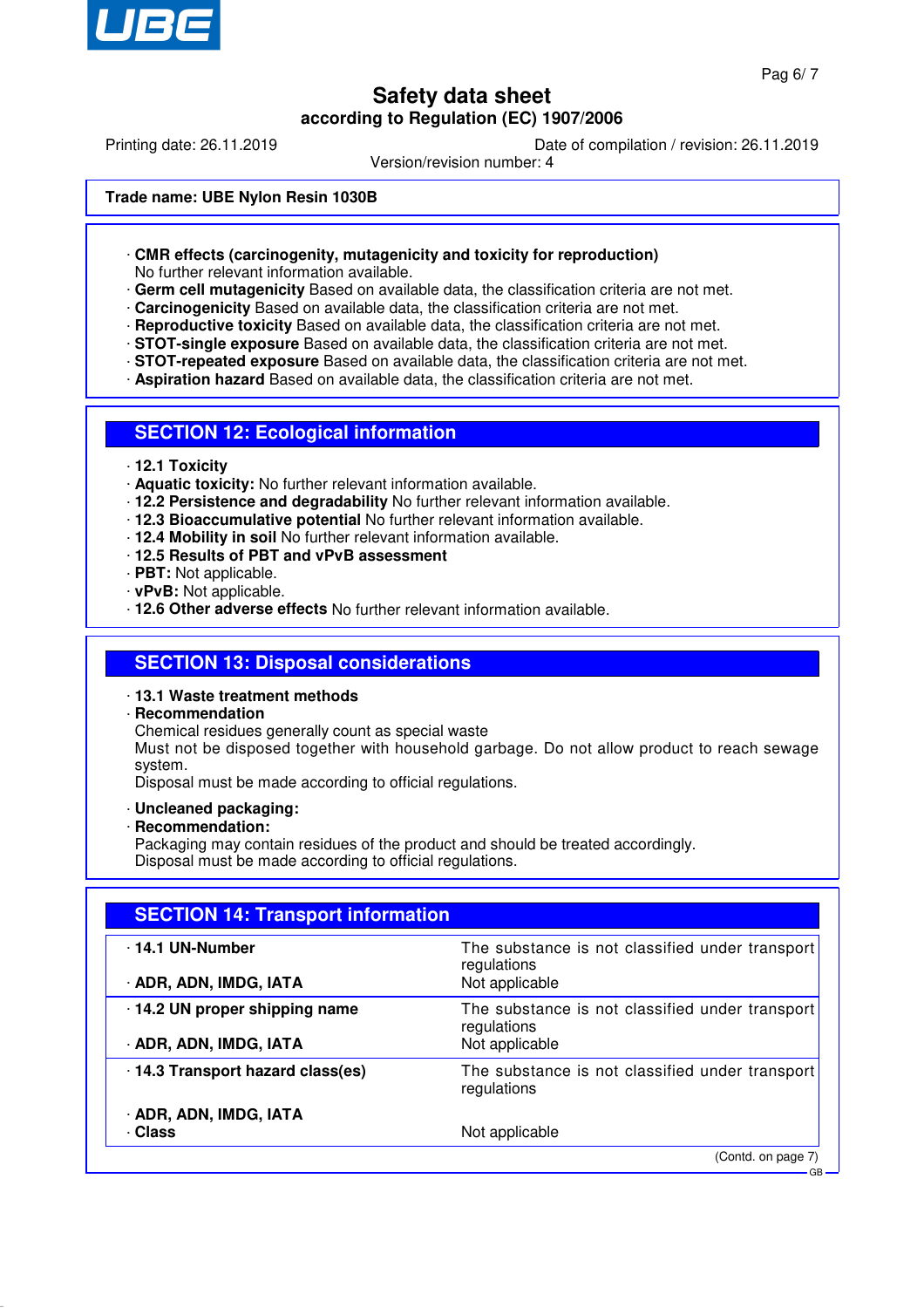

Printing date: 26.11.2019 Date of compilation / revision: 26.11.2019

Version/revision number: 4

#### **Trade name: UBE Nylon Resin 1030B**

· **CMR effects (carcinogenity, mutagenicity and toxicity for reproduction)**

No further relevant information available.

- · **Germ cell mutagenicity** Based on available data, the classification criteria are not met.
- · **Carcinogenicity** Based on available data, the classification criteria are not met.
- · **Reproductive toxicity** Based on available data, the classification criteria are not met.
- · **STOT-single exposure** Based on available data, the classification criteria are not met.
- · **STOT-repeated exposure** Based on available data, the classification criteria are not met.
- · **Aspiration hazard** Based on available data, the classification criteria are not met.

### **SECTION 12: Ecological information**

- · **12.1 Toxicity**
- · **Aquatic toxicity:** No further relevant information available.
- · **12.2 Persistence and degradability** No further relevant information available.
- · **12.3 Bioaccumulative potential** No further relevant information available.
- · **12.4 Mobility in soil** No further relevant information available.
- · **12.5 Results of PBT and vPvB assessment**
- · **PBT:** Not applicable.
- · **vPvB:** Not applicable.
- · **12.6 Other adverse effects** No further relevant information available.

### **SECTION 13: Disposal considerations**

- · **13.1 Waste treatment methods**
- · **Recommendation**
	- Chemical residues generally count as special waste

Must not be disposed together with household garbage. Do not allow product to reach sewage system.

Disposal must be made according to official regulations.

### · **Uncleaned packaging:**

· **Recommendation:**

Packaging may contain residues of the product and should be treated accordingly. Disposal must be made according to official regulations.

| <b>SECTION 14: Transport information</b> |                                                                |  |
|------------------------------------------|----------------------------------------------------------------|--|
| · 14.1 UN-Number                         | The substance is not classified under transport<br>regulations |  |
| · ADR, ADN, IMDG, IATA                   | Not applicable                                                 |  |
| · 14.2 UN proper shipping name           | The substance is not classified under transport<br>regulations |  |
| · ADR, ADN, IMDG, IATA                   | Not applicable                                                 |  |
| 14.3 Transport hazard class(es)          | The substance is not classified under transport<br>regulations |  |
| · ADR, ADN, IMDG, IATA                   |                                                                |  |
| · Class                                  | Not applicable                                                 |  |
|                                          | (Contd. on page 7)                                             |  |